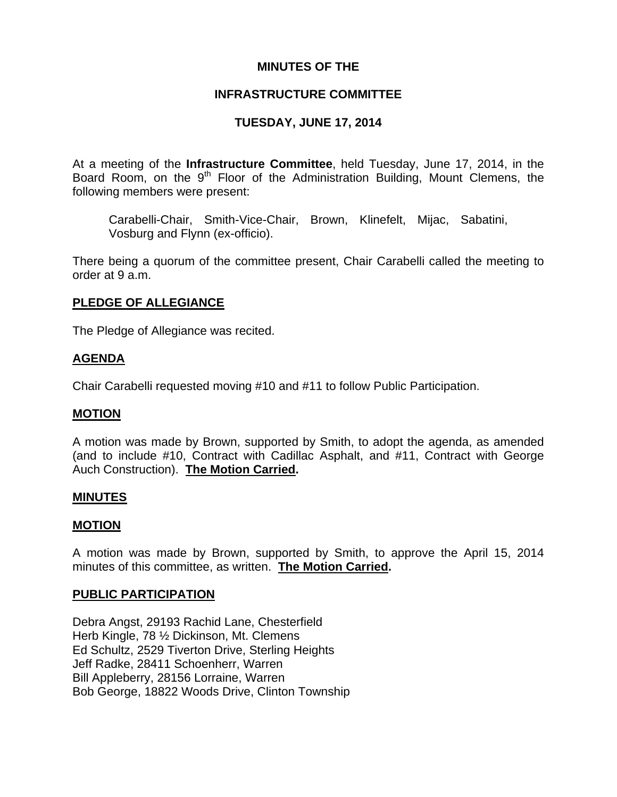## **MINUTES OF THE**

## **INFRASTRUCTURE COMMITTEE**

# **TUESDAY, JUNE 17, 2014**

At a meeting of the **Infrastructure Committee**, held Tuesday, June 17, 2014, in the Board Room, on the  $9<sup>th</sup>$  Floor of the Administration Building, Mount Clemens, the following members were present:

Carabelli-Chair, Smith-Vice-Chair, Brown, Klinefelt, Mijac, Sabatini, Vosburg and Flynn (ex-officio).

There being a quorum of the committee present, Chair Carabelli called the meeting to order at 9 a.m.

## **PLEDGE OF ALLEGIANCE**

The Pledge of Allegiance was recited.

## **AGENDA**

Chair Carabelli requested moving #10 and #11 to follow Public Participation.

### **MOTION**

A motion was made by Brown, supported by Smith, to adopt the agenda, as amended (and to include #10, Contract with Cadillac Asphalt, and #11, Contract with George Auch Construction). **The Motion Carried.** 

### **MINUTES**

## **MOTION**

A motion was made by Brown, supported by Smith, to approve the April 15, 2014 minutes of this committee, as written. **The Motion Carried.** 

### **PUBLIC PARTICIPATION**

Debra Angst, 29193 Rachid Lane, Chesterfield Herb Kingle, 78 ½ Dickinson, Mt. Clemens Ed Schultz, 2529 Tiverton Drive, Sterling Heights Jeff Radke, 28411 Schoenherr, Warren Bill Appleberry, 28156 Lorraine, Warren Bob George, 18822 Woods Drive, Clinton Township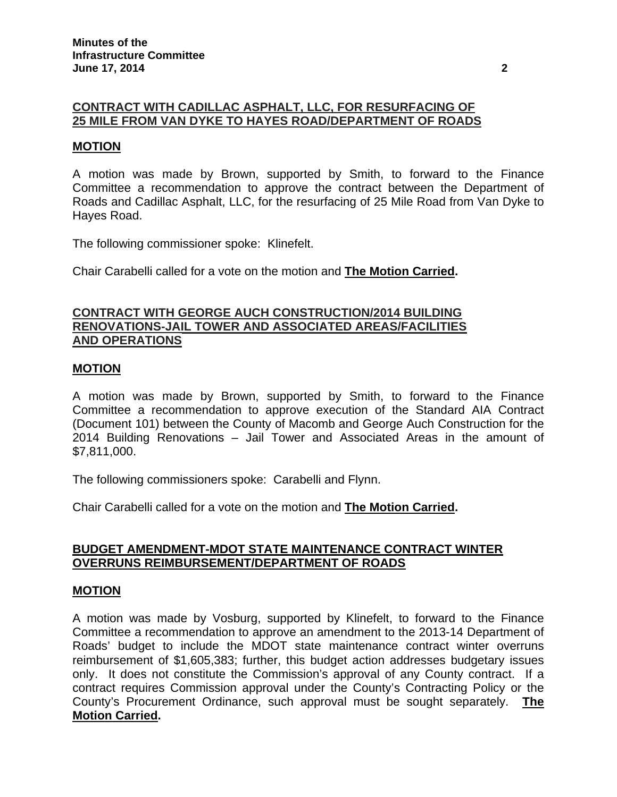# **CONTRACT WITH CADILLAC ASPHALT, LLC, FOR RESURFACING OF 25 MILE FROM VAN DYKE TO HAYES ROAD/DEPARTMENT OF ROADS**

## **MOTION**

A motion was made by Brown, supported by Smith, to forward to the Finance Committee a recommendation to approve the contract between the Department of Roads and Cadillac Asphalt, LLC, for the resurfacing of 25 Mile Road from Van Dyke to Hayes Road.

The following commissioner spoke: Klinefelt.

Chair Carabelli called for a vote on the motion and **The Motion Carried.**

### **CONTRACT WITH GEORGE AUCH CONSTRUCTION/2014 BUILDING RENOVATIONS-JAIL TOWER AND ASSOCIATED AREAS/FACILITIES AND OPERATIONS**

### **MOTION**

A motion was made by Brown, supported by Smith, to forward to the Finance Committee a recommendation to approve execution of the Standard AIA Contract (Document 101) between the County of Macomb and George Auch Construction for the 2014 Building Renovations – Jail Tower and Associated Areas in the amount of \$7,811,000.

The following commissioners spoke: Carabelli and Flynn.

Chair Carabelli called for a vote on the motion and **The Motion Carried.**

### **BUDGET AMENDMENT-MDOT STATE MAINTENANCE CONTRACT WINTER OVERRUNS REIMBURSEMENT/DEPARTMENT OF ROADS**

#### **MOTION**

A motion was made by Vosburg, supported by Klinefelt, to forward to the Finance Committee a recommendation to approve an amendment to the 2013-14 Department of Roads' budget to include the MDOT state maintenance contract winter overruns reimbursement of \$1,605,383; further, this budget action addresses budgetary issues only. It does not constitute the Commission's approval of any County contract. If a contract requires Commission approval under the County's Contracting Policy or the County's Procurement Ordinance, such approval must be sought separately. **The Motion Carried.**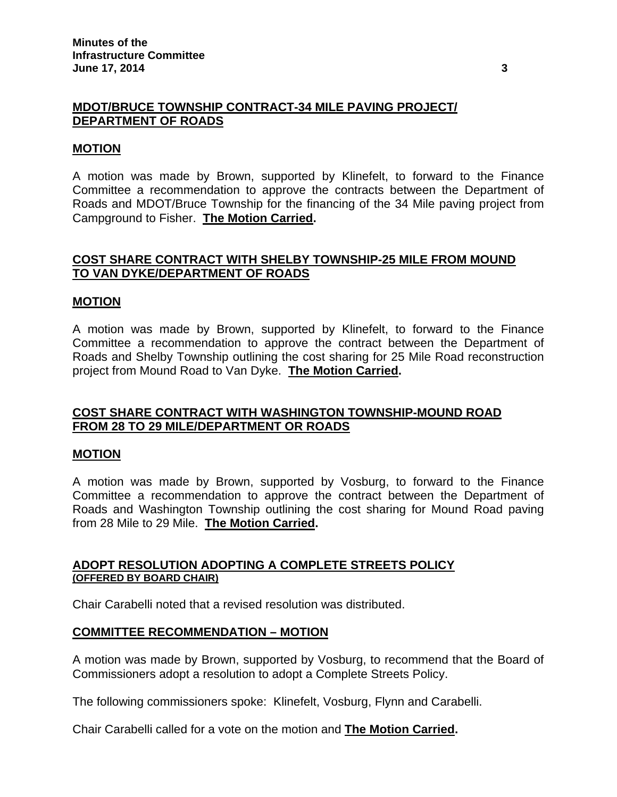## **MDOT/BRUCE TOWNSHIP CONTRACT-34 MILE PAVING PROJECT/ DEPARTMENT OF ROADS**

## **MOTION**

A motion was made by Brown, supported by Klinefelt, to forward to the Finance Committee a recommendation to approve the contracts between the Department of Roads and MDOT/Bruce Township for the financing of the 34 Mile paving project from Campground to Fisher. **The Motion Carried.** 

## **COST SHARE CONTRACT WITH SHELBY TOWNSHIP-25 MILE FROM MOUND TO VAN DYKE/DEPARTMENT OF ROADS**

### **MOTION**

A motion was made by Brown, supported by Klinefelt, to forward to the Finance Committee a recommendation to approve the contract between the Department of Roads and Shelby Township outlining the cost sharing for 25 Mile Road reconstruction project from Mound Road to Van Dyke. **The Motion Carried.** 

## **COST SHARE CONTRACT WITH WASHINGTON TOWNSHIP-MOUND ROAD FROM 28 TO 29 MILE/DEPARTMENT OR ROADS**

### **MOTION**

A motion was made by Brown, supported by Vosburg, to forward to the Finance Committee a recommendation to approve the contract between the Department of Roads and Washington Township outlining the cost sharing for Mound Road paving from 28 Mile to 29 Mile. **The Motion Carried.** 

## **ADOPT RESOLUTION ADOPTING A COMPLETE STREETS POLICY (OFFERED BY BOARD CHAIR)**

Chair Carabelli noted that a revised resolution was distributed.

### **COMMITTEE RECOMMENDATION – MOTION**

A motion was made by Brown, supported by Vosburg, to recommend that the Board of Commissioners adopt a resolution to adopt a Complete Streets Policy.

The following commissioners spoke: Klinefelt, Vosburg, Flynn and Carabelli.

Chair Carabelli called for a vote on the motion and **The Motion Carried.**